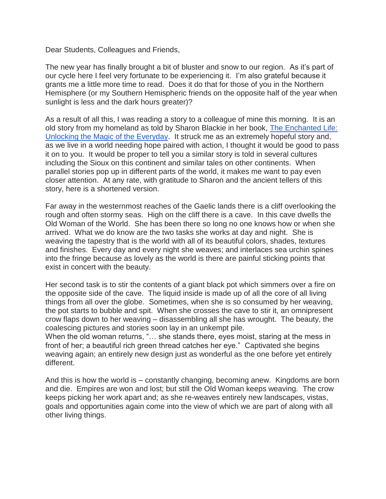Dear Students, Colleagues and Friends,

The new year has finally brought a bit of bluster and snow to our region. As it's part of our cycle here I feel very fortunate to be experiencing it. I'm also grateful because it grants me a little more time to read. Does it do that for those of you in the Northern Hemisphere (or my Southern Hemispheric friends on the opposite half of the year when sunlight is less and the dark hours greater)?

As a result of all this, I was reading a story to a colleague of mine this morning. It is an old story from my homeland as told by Sharon Blackie in her book, [The Enchanted Life:](https://sharonblackie.net/the-enchanted-life/)  [Unlocking the Magic of the Everyday.](https://sharonblackie.net/the-enchanted-life/) It struck me as an extremely hopeful story and, as we live in a world needing hope paired with action, I thought it would be good to pass it on to you. It would be proper to tell you a similar story is told in several cultures including the Sioux on this continent and similar tales on other continents. When parallel stories pop up in different parts of the world, it makes me want to pay even closer attention. At any rate, with gratitude to Sharon and the ancient tellers of this story, here is a shortened version.

Far away in the westernmost reaches of the Gaelic lands there is a cliff overlooking the rough and often stormy seas. High on the cliff there is a cave. In this cave dwells the Old Woman of the World. She has been there so long no one knows how or when she arrived. What we do know are the two tasks she works at day and night. She is weaving the tapestry that is the world with all of its beautiful colors, shades, textures and finishes. Every day and every night she weaves; and interlaces sea urchin spines into the fringe because as lovely as the world is there are painful sticking points that exist in concert with the beauty.

Her second task is to stir the contents of a giant black pot which simmers over a fire on the opposite side of the cave. The liquid inside is made up of all the core of all living things from all over the globe. Sometimes, when she is so consumed by her weaving, the pot starts to bubble and spit. When she crosses the cave to stir it, an omnipresent crow flaps down to her weaving – disassembling all she has wrought. The beauty, the coalescing pictures and stories soon lay in an unkempt pile.

When the old woman returns, "... she stands there, eyes moist, staring at the mess in front of her; a beautiful rich green thread catches her eye." Captivated she begins weaving again; an entirely new design just as wonderful as the one before yet entirely different.

And this is how the world is – constantly changing, becoming anew. Kingdoms are born and die. Empires are won and lost; but still the Old Woman keeps weaving. The crow keeps picking her work apart and; as she re-weaves entirely new landscapes, vistas, goals and opportunities again come into the view of which we are part of along with all other living things.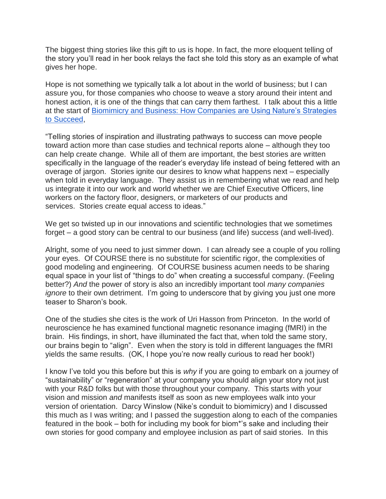The biggest thing stories like this gift to us is hope. In fact, the more eloquent telling of the story you'll read in her book relays the fact she told this story as an example of what gives her hope.

Hope is not something we typically talk a lot about in the world of business; but I can assure you, for those companies who choose to weave a story around their intent and honest action, it is one of the things that can carry them farthest. I talk about this a little at the start of [Biomimicry and Business: How Companies are Using Nature's Strategies](https://www.margofarnsworth.com/)  [to Succeed,](https://www.margofarnsworth.com/)

"Telling stories of inspiration and illustrating pathways to success can move people toward action more than case studies and technical reports alone – although they too can help create change. While all of them are important, the best stories are written specifically in the language of the reader's everyday life instead of being fettered with an overage of jargon. Stories ignite our desires to know what happens next – especially when told in everyday language. They assist us in remembering what we read and help us integrate it into our work and world whether we are Chief Executive Officers, line workers on the factory floor, designers, or marketers of our products and services. Stories create equal access to ideas."

We get so twisted up in our innovations and scientific technologies that we sometimes forget – a good story can be central to our business (and life) success (and well-lived).

Alright, some of you need to just simmer down. I can already see a couple of you rolling your eyes. Of COURSE there is no substitute for scientific rigor, the complexities of good modeling and engineering. Of COURSE business acumen needs to be sharing equal space in your list of "things to do" when creating a successful company. (Feeling better?) *And* the power of story is also an incredibly important tool *many companies ignore* to their own detriment. I'm going to underscore that by giving you just one more teaser to Sharon's book.

One of the studies she cites is the work of Uri Hasson from Princeton. In the world of neuroscience he has examined functional magnetic resonance imaging (fMRI) in the brain. His findings, in short, have illuminated the fact that, when told the same story, our brains begin to "align". Even when the story is told in different languages the fMRI yields the same results. (OK, I hope you're now really curious to read her book!)

I know I've told you this before but this is *why* if you are going to embark on a journey of "sustainability" or "regeneration" at your company you should align your story not just with your R&D folks but with those throughout your company. This starts with your vision and mission *and* manifests itself as soon as new employees walk into your version of orientation. Darcy Winslow (Nike's conduit to biomimicry) and I discussed this much as I was writing; and I passed the suggestion along to each of the companies featured in the book – both for including my book for biom\*'s sake and including their own stories for good company and employee inclusion as part of said stories. In this